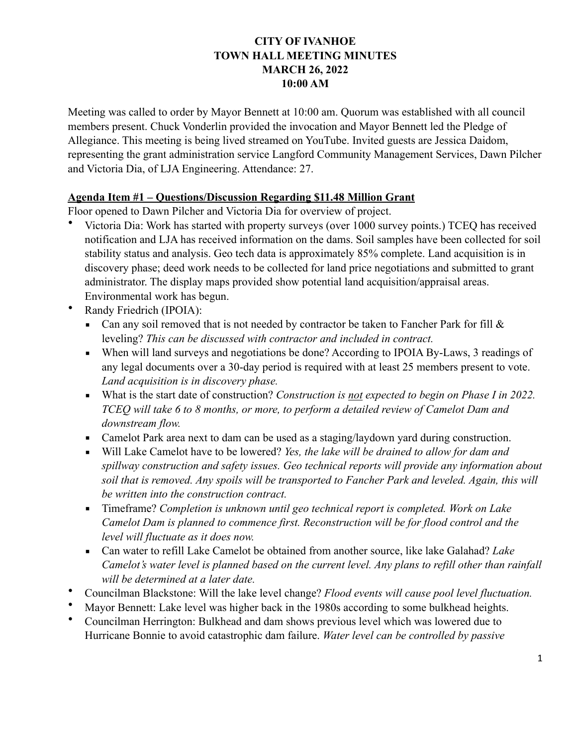# **CITY OF IVANHOE TOWN HALL MEETING MINUTES MARCH 26, 2022 10:00 AM**

Meeting was called to order by Mayor Bennett at 10:00 am. Quorum was established with all council members present. Chuck Vonderlin provided the invocation and Mayor Bennett led the Pledge of Allegiance. This meeting is being lived streamed on YouTube. Invited guests are Jessica Daidom, representing the grant administration service Langford Community Management Services, Dawn Pilcher and Victoria Dia, of LJA Engineering. Attendance: 27.

### **Agenda Item #1 – Questions/Discussion Regarding \$11.48 Million Grant**

Floor opened to Dawn Pilcher and Victoria Dia for overview of project.

- Victoria Dia: Work has started with property surveys (over 1000 survey points.) TCEQ has received notification and LJA has received information on the dams. Soil samples have been collected for soil stability status and analysis. Geo tech data is approximately 85% complete. Land acquisition is in discovery phase; deed work needs to be collected for land price negotiations and submitted to grant administrator. The display maps provided show potential land acquisition/appraisal areas. Environmental work has begun.
- Randy Friedrich (IPOIA):
	- **•** Can any soil removed that is not needed by contractor be taken to Fancher Park for fill  $\&$ leveling? *This can be discussed with contractor and included in contract.*
	- When will land surveys and negotiations be done? According to IPOIA By-Laws, 3 readings of any legal documents over a 30-day period is required with at least 25 members present to vote. *Land acquisition is in discovery phase.*
	- What is the start date of construction? *Construction is not expected to begin on Phase I in 2022*. *TCEQ will take 6 to 8 months, or more, to perform a detailed review of Camelot Dam and downstream flow.*
	- Camelot Park area next to dam can be used as a staging/laydown yard during construction.
	- Will Lake Camelot have to be lowered? *Yes, the lake will be drained to allow for dam and spillway construction and safety issues. Geo technical reports will provide any information about soil that is removed. Any spoils will be transported to Fancher Park and leveled. Again, this will be written into the construction contract.*
	- Timeframe? *Completion is unknown until geo technical report is completed. Work on Lake Camelot Dam is planned to commence first. Reconstruction will be for flood control and the level will fluctuate as it does now.*
	- Can water to refill Lake Camelot be obtained from another source, like lake Galahad? *Lake Camelot's water level is planned based on the current level. Any plans to refill other than rainfall will be determined at a later date.*
- Councilman Blackstone: Will the lake level change? *Flood events will cause pool level fluctuation.*
- Mayor Bennett: Lake level was higher back in the 1980s according to some bulkhead heights.
- Councilman Herrington: Bulkhead and dam shows previous level which was lowered due to Hurricane Bonnie to avoid catastrophic dam failure. *Water level can be controlled by passive*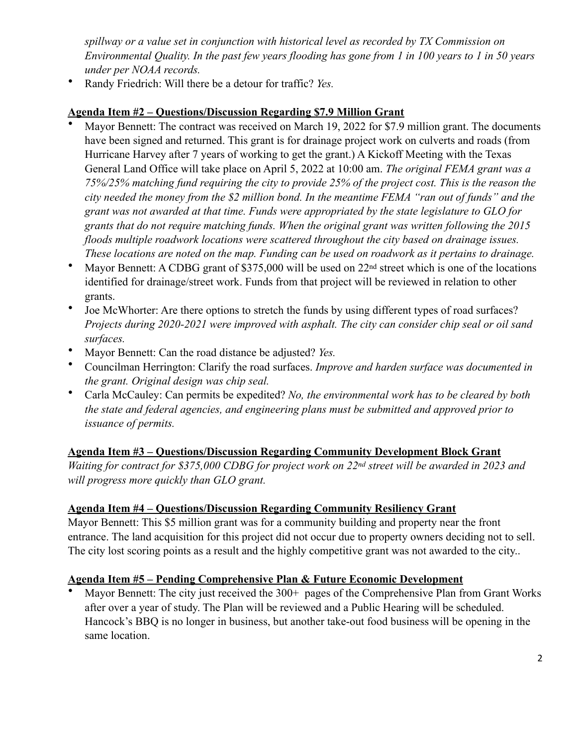*spillway or a value set in conjunction with historical level as recorded by TX Commission on Environmental Quality. In the past few years flooding has gone from 1 in 100 years to 1 in 50 years under per NOAA records.*

• Randy Friedrich: Will there be a detour for traffic? *Yes.*

## **Agenda Item #2 – Questions/Discussion Regarding \$7.9 Million Grant**

- Mayor Bennett: The contract was received on March 19, 2022 for \$7.9 million grant. The documents have been signed and returned. This grant is for drainage project work on culverts and roads (from Hurricane Harvey after 7 years of working to get the grant.) A Kickoff Meeting with the Texas General Land Office will take place on April 5, 2022 at 10:00 am. *The original FEMA grant was a 75%/25% matching fund requiring the city to provide 25% of the project cost. This is the reason the city needed the money from the \$2 million bond. In the meantime FEMA "ran out of funds" and the grant was not awarded at that time. Funds were appropriated by the state legislature to GLO for grants that do not require matching funds. When the original grant was written following the 2015 floods multiple roadwork locations were scattered throughout the city based on drainage issues. These locations are noted on the map. Funding can be used on roadwork as it pertains to drainage.*
- Mayor Bennett: A CDBG grant of \$375,000 will be used on 22<sup>nd</sup> street which is one of the locations identified for drainage/street work. Funds from that project will be reviewed in relation to other grants.
- Joe McWhorter: Are there options to stretch the funds by using different types of road surfaces? *Projects during 2020-2021 were improved with asphalt. The city can consider chip seal or oil sand surfaces.*
- Mayor Bennett: Can the road distance be adjusted? *Yes.*
- Councilman Herrington: Clarify the road surfaces. *Improve and harden surface was documented in the grant. Original design was chip seal.*
- Carla McCauley: Can permits be expedited? *No, the environmental work has to be cleared by both the state and federal agencies, and engineering plans must be submitted and approved prior to issuance of permits.*

#### **Agenda Item #3 – Questions/Discussion Regarding Community Development Block Grant**

*Waiting for contract for \$375,000 CDBG for project work on 22nd street will be awarded in 2023 and will progress more quickly than GLO grant.* 

#### **Agenda Item #4 – Questions/Discussion Regarding Community Resiliency Grant**

Mayor Bennett: This \$5 million grant was for a community building and property near the front entrance. The land acquisition for this project did not occur due to property owners deciding not to sell. The city lost scoring points as a result and the highly competitive grant was not awarded to the city..

# **Agenda Item #5 – Pending Comprehensive Plan & Future Economic Development**

Mayor Bennett: The city just received the 300+ pages of the Comprehensive Plan from Grant Works after over a year of study. The Plan will be reviewed and a Public Hearing will be scheduled. Hancock's BBQ is no longer in business, but another take-out food business will be opening in the same location.